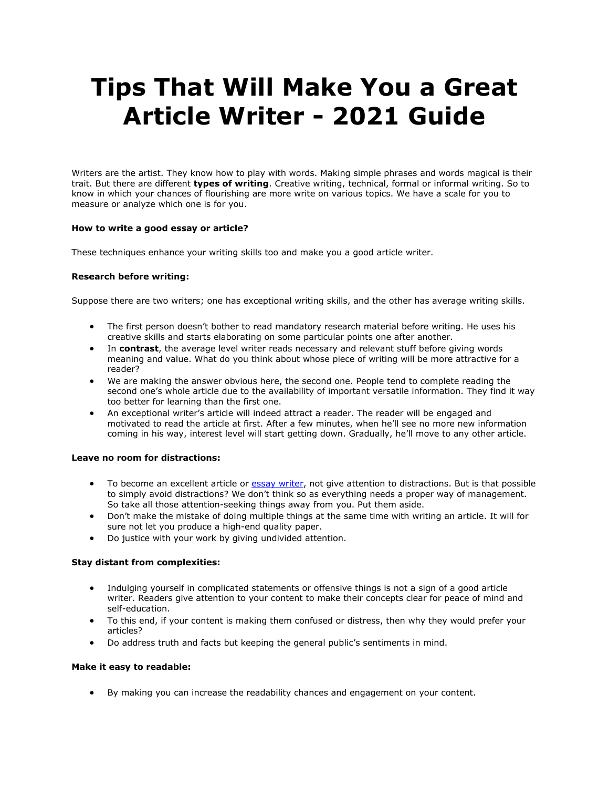# **Tips That Will Make You a Great Article Writer - 2021 Guide**

Writers are the artist. They know how to play with words. Making simple phrases and words magical is their trait. But there are different **types of writing**. Creative writing, technical, formal or informal writing. So to know in which your chances of flourishing are more write on various topics. We have a scale for you to measure or analyze which one is for you.

## **How to write a good essay or article?**

These techniques enhance your writing skills too and make you a good article writer.

## **Research before writing:**

Suppose there are two writers; one has exceptional writing skills, and the other has average writing skills.

- The first person doesn't bother to read mandatory research material before writing. He uses his creative skills and starts elaborating on some particular points one after another.
- In **contrast**, the average level writer reads necessary and relevant stuff before giving words meaning and value. What do you think about whose piece of writing will be more attractive for a reader?
- We are making the answer obvious here, the second one. People tend to complete reading the second one's whole article due to the availability of important versatile information. They find it way too better for learning than the first one.
- An exceptional writer's article will indeed attract a reader. The reader will be engaged and motivated to read the article at first. After a few minutes, when he'll see no more new information coming in his way, interest level will start getting down. Gradually, he'll move to any other article.

#### **Leave no room for distractions:**

- To become an excellent article or [essay writer,](https://perfectessaywriting.com/essay-writer) not give attention to distractions. But is that possible to simply avoid distractions? We don't think so as everything needs a proper way of management. So take all those attention-seeking things away from you. Put them aside.
- Don't make the mistake of doing multiple things at the same time with writing an article. It will for sure not let you produce a high-end quality paper.
- Do justice with your work by giving undivided attention.

#### **Stay distant from complexities:**

- Indulging yourself in complicated statements or offensive things is not a sign of a good article writer. Readers give attention to your content to make their concepts clear for peace of mind and self-education.
- To this end, if your content is making them confused or distress, then why they would prefer your articles?
- Do address truth and facts but keeping the general public's sentiments in mind.

#### **Make it easy to readable:**

• By making you can increase the readability chances and engagement on your content.